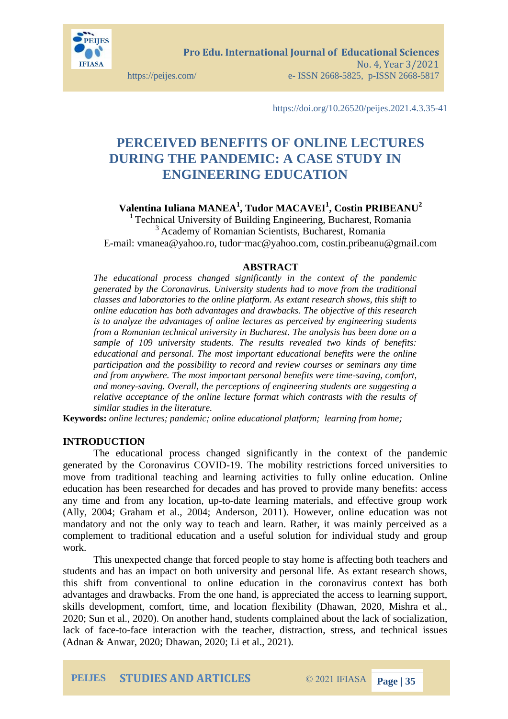

https://doi.org/10.26520/peijes.2021.4.3.35-41

# **PERCEIVED BENEFITS OF ONLINE LECTURES DURING THE PANDEMIC: A CASE STUDY IN ENGINEERING EDUCATION**

**Valentina Iuliana MANEA<sup>1</sup> , Tudor MACAVEI<sup>1</sup> , Costin PRIBEANU<sup>2</sup>**

 $1$  Technical University of Building Engineering, Bucharest, Romania <sup>3</sup> Academy of Romanian Scientists, Bucharest, Romania E-mail: vmanea@yahoo.ro, tudor\_mac@yahoo.com, costin.pribeanu@gmail.com

#### **ABSTRACT**

*The educational process changed significantly in the context of the pandemic generated by the Coronavirus. University students had to move from the traditional classes and laboratories to the online platform. As extant research shows, this shift to online education has both advantages and drawbacks. The objective of this research is to analyze the advantages of online lectures as perceived by engineering students from a Romanian technical university in Bucharest. The analysis has been done on a sample of 109 university students. The results revealed two kinds of benefits: educational and personal. The most important educational benefits were the online participation and the possibility to record and review courses or seminars any time and from anywhere. The most important personal benefits were time-saving, comfort, and money-saving. Overall, the perceptions of engineering students are suggesting a relative acceptance of the online lecture format which contrasts with the results of similar studies in the literature.* 

**Keywords:** *online lectures; pandemic; online educational platform; learning from home;*

#### **INTRODUCTION**

The educational process changed significantly in the context of the pandemic generated by the Coronavirus COVID-19. The mobility restrictions forced universities to move from traditional teaching and learning activities to fully online education. Online education has been researched for decades and has proved to provide many benefits: access any time and from any location, up-to-date learning materials, and effective group work (Ally, 2004; Graham et al., 2004; Anderson, 2011). However, online education was not mandatory and not the only way to teach and learn. Rather, it was mainly perceived as a complement to traditional education and a useful solution for individual study and group work.

This unexpected change that forced people to stay home is affecting both teachers and students and has an impact on both university and personal life. As extant research shows, this shift from conventional to online education in the coronavirus context has both advantages and drawbacks. From the one hand, is appreciated the access to learning support, skills development, comfort, time, and location flexibility (Dhawan, 2020, Mishra et al., 2020; Sun et al., 2020). On another hand, students complained about the lack of socialization, lack of face-to-face interaction with the teacher, distraction, stress, and technical issues (Adnan & Anwar, 2020; Dhawan, 2020; Li et al., 2021).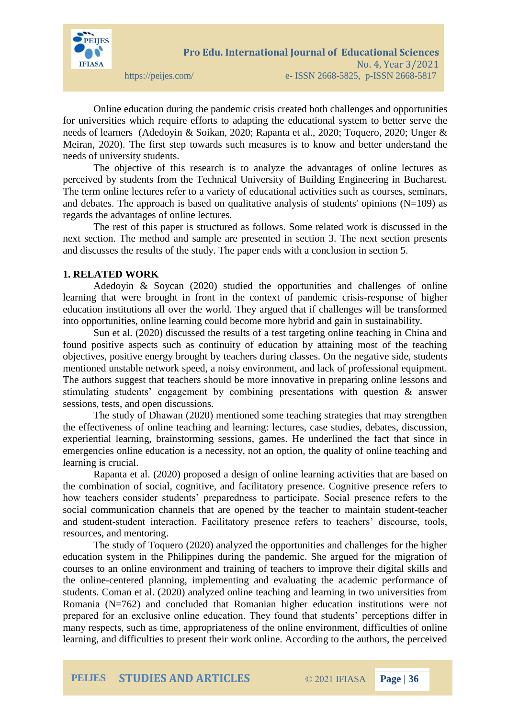

Online education during the pandemic crisis created both challenges and opportunities for universities which require efforts to adapting the educational system to better serve the needs of learners (Adedoyin & Soikan, 2020; Rapanta et al., 2020; Toquero, 2020; Unger & Meiran, 2020). The first step towards such measures is to know and better understand the needs of university students.

The objective of this research is to analyze the advantages of online lectures as perceived by students from the Technical University of Building Engineering in Bucharest. The term online lectures refer to a variety of educational activities such as courses, seminars, and debates. The approach is based on qualitative analysis of students' opinions  $(N=109)$  as regards the advantages of online lectures.

The rest of this paper is structured as follows. Some related work is discussed in the next section. The method and sample are presented in section 3. The next section presents and discusses the results of the study. The paper ends with a conclusion in section 5.

#### **1. RELATED WORK**

Adedoyin & Soycan (2020) studied the opportunities and challenges of online learning that were brought in front in the context of pandemic crisis-response of higher education institutions all over the world. They argued that if challenges will be transformed into opportunities, online learning could become more hybrid and gain in sustainability.

Sun et al. (2020) discussed the results of a test targeting online teaching in China and found positive aspects such as continuity of education by attaining most of the teaching objectives, positive energy brought by teachers during classes. On the negative side, students mentioned unstable network speed, a noisy environment, and lack of professional equipment. The authors suggest that teachers should be more innovative in preparing online lessons and stimulating students' engagement by combining presentations with question & answer sessions, tests, and open discussions.

The study of Dhawan (2020) mentioned some teaching strategies that may strengthen the effectiveness of online teaching and learning: lectures, case studies, debates, discussion, experiential learning, brainstorming sessions, games. He underlined the fact that since in emergencies online education is a necessity, not an option, the quality of online teaching and learning is crucial.

Rapanta et al. (2020) proposed a design of online learning activities that are based on the combination of social, cognitive, and facilitatory presence. Cognitive presence refers to how teachers consider students' preparedness to participate. Social presence refers to the social communication channels that are opened by the teacher to maintain student-teacher and student-student interaction. Facilitatory presence refers to teachers' discourse, tools, resources, and mentoring.

The study of Toquero (2020) analyzed the opportunities and challenges for the higher education system in the Philippines during the pandemic. She argued for the migration of courses to an online environment and training of teachers to improve their digital skills and the online-centered planning, implementing and evaluating the academic performance of students. Coman et al. (2020) analyzed online teaching and learning in two universities from Romania (N=762) and concluded that Romanian higher education institutions were not prepared for an exclusive online education. They found that students' perceptions differ in many respects, such as time, appropriateness of the online environment, difficulties of online learning, and difficulties to present their work online. According to the authors, the perceived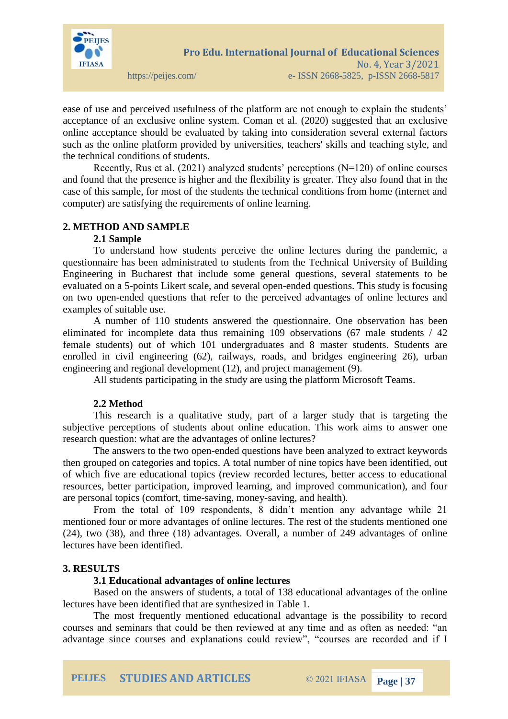

ease of use and perceived usefulness of the platform are not enough to explain the students' acceptance of an exclusive online system. Coman et al. (2020) suggested that an exclusive online acceptance should be evaluated by taking into consideration several external factors such as the online platform provided by universities, teachers' skills and teaching style, and the technical conditions of students.

Recently, Rus et al. (2021) analyzed students' perceptions (N=120) of online courses and found that the presence is higher and the flexibility is greater. They also found that in the case of this sample, for most of the students the technical conditions from home (internet and computer) are satisfying the requirements of online learning.

## **2. METHOD AND SAMPLE**

### **2.1 Sample**

To understand how students perceive the online lectures during the pandemic, a questionnaire has been administrated to students from the Technical University of Building Engineering in Bucharest that include some general questions, several statements to be evaluated on a 5-points Likert scale, and several open-ended questions. This study is focusing on two open-ended questions that refer to the perceived advantages of online lectures and examples of suitable use.

A number of 110 students answered the questionnaire. One observation has been eliminated for incomplete data thus remaining 109 observations (67 male students / 42 female students) out of which 101 undergraduates and 8 master students. Students are enrolled in civil engineering (62), railways, roads, and bridges engineering 26), urban engineering and regional development (12), and project management (9).

All students participating in the study are using the platform Microsoft Teams.

#### **2.2 Method**

This research is a qualitative study, part of a larger study that is targeting the subjective perceptions of students about online education. This work aims to answer one research question: what are the advantages of online lectures?

The answers to the two open-ended questions have been analyzed to extract keywords then grouped on categories and topics. A total number of nine topics have been identified, out of which five are educational topics (review recorded lectures, better access to educational resources, better participation, improved learning, and improved communication), and four are personal topics (comfort, time-saving, money-saving, and health).

From the total of 109 respondents, 8 didn't mention any advantage while 21 mentioned four or more advantages of online lectures. The rest of the students mentioned one (24), two (38), and three (18) advantages. Overall, a number of 249 advantages of online lectures have been identified.

#### **3. RESULTS**

#### **3.1 Educational advantages of online lectures**

Based on the answers of students, a total of 138 educational advantages of the online lectures have been identified that are synthesized in Table 1.

The most frequently mentioned educational advantage is the possibility to record courses and seminars that could be then reviewed at any time and as often as needed: "an advantage since courses and explanations could review", "courses are recorded and if I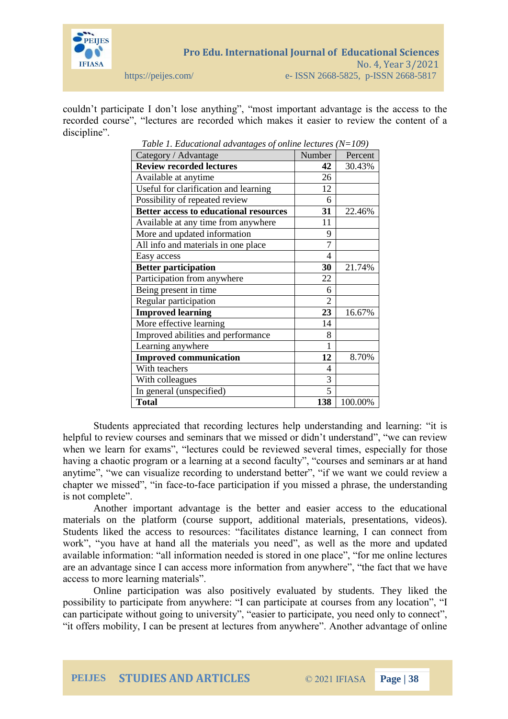

couldn't participate I don't lose anything", "most important advantage is the access to the recorded course", "lectures are recorded which makes it easier to review the content of a discipline". *Table 1. Educational advantages of online lectures (N=109)*

| I able 1. Educational advantages of online lectures (N=109) | Number         | Percent |
|-------------------------------------------------------------|----------------|---------|
| Category / Advantage                                        |                |         |
| <b>Review recorded lectures</b>                             | 42             | 30.43%  |
| Available at anytime                                        | 26             |         |
| Useful for clarification and learning                       | 12             |         |
| Possibility of repeated review                              | 6              |         |
| <b>Better access to educational resources</b>               | 31             | 22.46%  |
| Available at any time from anywhere                         | 11             |         |
| More and updated information                                | 9              |         |
| All info and materials in one place                         | $\overline{7}$ |         |
| Easy access                                                 | 4              |         |
| <b>Better participation</b>                                 | 30             | 21.74%  |
| Participation from anywhere                                 | 22             |         |
| Being present in time                                       | 6              |         |
| Regular participation                                       | 2              |         |
| <b>Improved learning</b>                                    | 23             | 16.67%  |
| More effective learning                                     | 14             |         |
| Improved abilities and performance                          | 8              |         |
| Learning anywhere                                           |                |         |
| <b>Improved communication</b>                               | 12             | 8.70%   |
| With teachers                                               | 4              |         |
| With colleagues                                             | 3              |         |
| In general (unspecified)                                    | 5              |         |
| <b>Total</b>                                                | 138            | 100.00% |

Students appreciated that recording lectures help understanding and learning: "it is helpful to review courses and seminars that we missed or didn't understand", "we can review when we learn for exams", "lectures could be reviewed several times, especially for those having a chaotic program or a learning at a second faculty", "courses and seminars ar at hand anytime", "we can visualize recording to understand better", "if we want we could review a chapter we missed", "in face-to-face participation if you missed a phrase, the understanding is not complete".

Another important advantage is the better and easier access to the educational materials on the platform (course support, additional materials, presentations, videos). Students liked the access to resources: "facilitates distance learning, I can connect from work", "you have at hand all the materials you need", as well as the more and updated available information: "all information needed is stored in one place", "for me online lectures are an advantage since I can access more information from anywhere", "the fact that we have access to more learning materials".

Online participation was also positively evaluated by students. They liked the possibility to participate from anywhere: "I can participate at courses from any location", "I can participate without going to university", "easier to participate, you need only to connect", "it offers mobility, I can be present at lectures from anywhere". Another advantage of online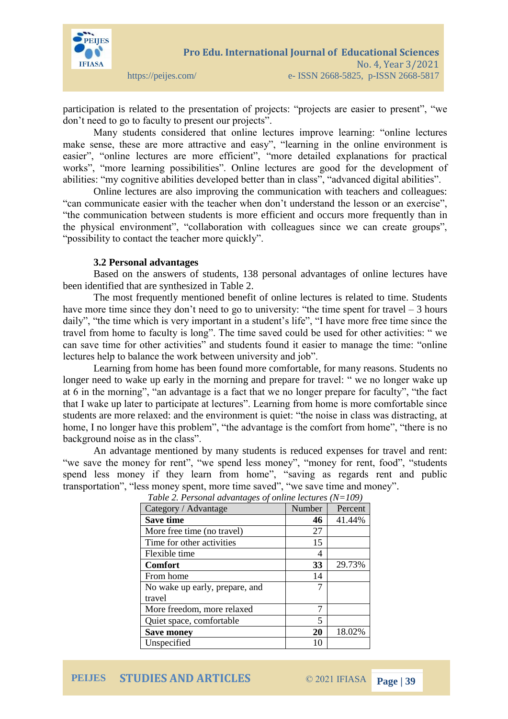

participation is related to the presentation of projects: "projects are easier to present", "we don't need to go to faculty to present our projects".

Many students considered that online lectures improve learning: "online lectures make sense, these are more attractive and easy", "learning in the online environment is easier", "online lectures are more efficient", "more detailed explanations for practical works", "more learning possibilities". Online lectures are good for the development of abilities: "my cognitive abilities developed better than in class", "advanced digital abilities".

Online lectures are also improving the communication with teachers and colleagues: "can communicate easier with the teacher when don't understand the lesson or an exercise", "the communication between students is more efficient and occurs more frequently than in the physical environment", "collaboration with colleagues since we can create groups", "possibility to contact the teacher more quickly".

#### **3.2 Personal advantages**

Based on the answers of students, 138 personal advantages of online lectures have been identified that are synthesized in Table 2.

The most frequently mentioned benefit of online lectures is related to time. Students have more time since they don't need to go to university: "the time spent for travel  $-3$  hours daily", "the time which is very important in a student's life", "I have more free time since the travel from home to faculty is long". The time saved could be used for other activities: " we can save time for other activities" and students found it easier to manage the time: "online lectures help to balance the work between university and job".

Learning from home has been found more comfortable, for many reasons. Students no longer need to wake up early in the morning and prepare for travel: " we no longer wake up at 6 in the morning", "an advantage is a fact that we no longer prepare for faculty", "the fact that I wake up later to participate at lectures". Learning from home is more comfortable since students are more relaxed: and the environment is quiet: "the noise in class was distracting, at home, I no longer have this problem", "the advantage is the comfort from home", "there is no background noise as in the class".

An advantage mentioned by many students is reduced expenses for travel and rent: "we save the money for rent", "we spend less money", "money for rent, food", "students spend less money if they learn from home", "saving as regards rent and public transportation", "less money spent, more time saved", "we save time and money".

| Category / Advantage           | Number | Percent |
|--------------------------------|--------|---------|
| <b>Save time</b>               | 46     | 41.44%  |
| More free time (no travel)     | 27     |         |
| Time for other activities      | 15     |         |
| Flexible time                  | 4      |         |
| <b>Comfort</b>                 | 33     | 29.73%  |
| From home                      | 14     |         |
| No wake up early, prepare, and | 7      |         |
| travel                         |        |         |
| More freedom, more relaxed     | 7      |         |
| Quiet space, comfortable       | 5      |         |
| <b>Save money</b>              | 20     | 18.02%  |
| Unspecified                    | 10     |         |

*Table 2. Personal advantages of online lectures (N=109)*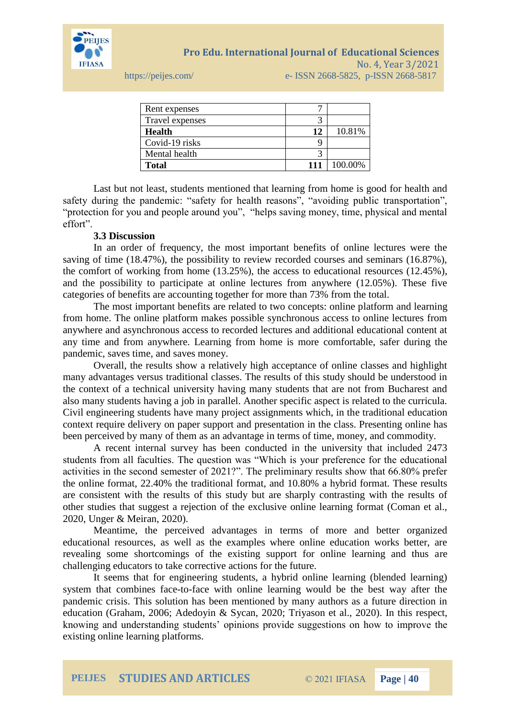

**Pro Edu. International Journal of Educational Sciences**  No. 4, Year 3/2021 https://peijes.com/ e- ISSN 2668-5825, p-ISSN 2668-5817

| Rent expenses   |     |         |
|-----------------|-----|---------|
| Travel expenses |     |         |
| Health          | 12  | 10.81%  |
| Covid-19 risks  |     |         |
| Mental health   |     |         |
| <b>Total</b>    | 111 | 100.00% |

Last but not least, students mentioned that learning from home is good for health and safety during the pandemic: "safety for health reasons", "avoiding public transportation", "protection for you and people around you", "helps saving money, time, physical and mental effort".

#### **3.3 Discussion**

In an order of frequency, the most important benefits of online lectures were the saving of time (18.47%), the possibility to review recorded courses and seminars (16.87%), the comfort of working from home (13.25%), the access to educational resources (12.45%), and the possibility to participate at online lectures from anywhere (12.05%). These five categories of benefits are accounting together for more than 73% from the total.

The most important benefits are related to two concepts: online platform and learning from home. The online platform makes possible synchronous access to online lectures from anywhere and asynchronous access to recorded lectures and additional educational content at any time and from anywhere. Learning from home is more comfortable, safer during the pandemic, saves time, and saves money.

Overall, the results show a relatively high acceptance of online classes and highlight many advantages versus traditional classes. The results of this study should be understood in the context of a technical university having many students that are not from Bucharest and also many students having a job in parallel. Another specific aspect is related to the curricula. Civil engineering students have many project assignments which, in the traditional education context require delivery on paper support and presentation in the class. Presenting online has been perceived by many of them as an advantage in terms of time, money, and commodity.

A recent internal survey has been conducted in the university that included 2473 students from all faculties. The question was "Which is your preference for the educational activities in the second semester of 2021?". The preliminary results show that 66.80% prefer the online format, 22.40% the traditional format, and 10.80% a hybrid format. These results are consistent with the results of this study but are sharply contrasting with the results of other studies that suggest a rejection of the exclusive online learning format (Coman et al., 2020, Unger & Meiran, 2020).

Meantime, the perceived advantages in terms of more and better organized educational resources, as well as the examples where online education works better, are revealing some shortcomings of the existing support for online learning and thus are challenging educators to take corrective actions for the future.

It seems that for engineering students, a hybrid online learning (blended learning) system that combines face-to-face with online learning would be the best way after the pandemic crisis. This solution has been mentioned by many authors as a future direction in education (Graham, 2006; Adedoyin & Sycan, 2020; Triyason et al., 2020). In this respect, knowing and understanding students' opinions provide suggestions on how to improve the existing online learning platforms.